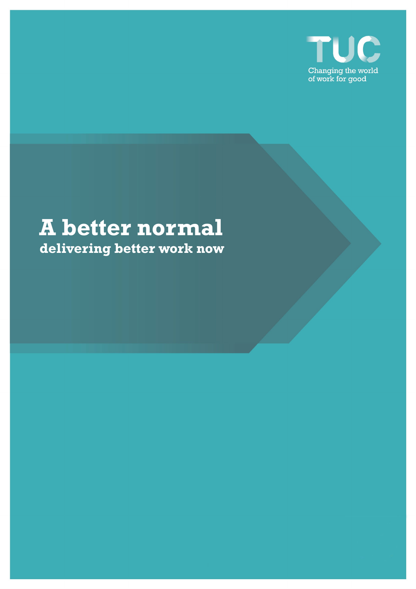

# **A better normal delivering better work now**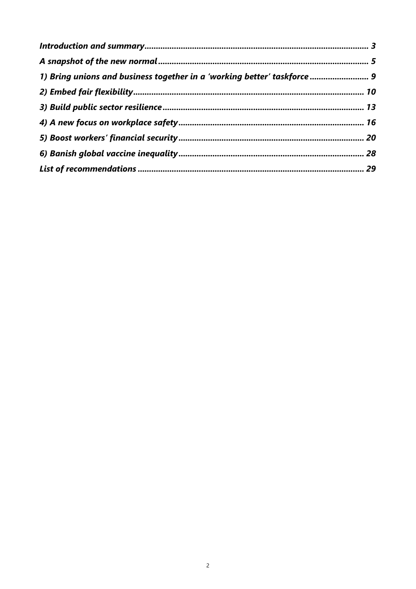| 1) Bring unions and business together in a 'working better' taskforce  9 |    |
|--------------------------------------------------------------------------|----|
|                                                                          |    |
|                                                                          |    |
|                                                                          |    |
|                                                                          |    |
|                                                                          |    |
|                                                                          | 29 |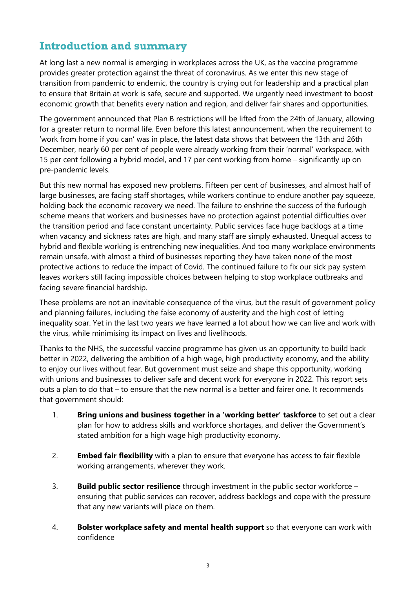# <span id="page-2-0"></span>**Introduction and summary**

At long last a new normal is emerging in workplaces across the UK, as the vaccine programme provides greater protection against the threat of coronavirus. As we enter this new stage of transition from pandemic to endemic, the country is crying out for leadership and a practical plan to ensure that Britain at work is safe, secure and supported. We urgently need investment to boost economic growth that benefits every nation and region, and deliver fair shares and opportunities.

The government announced that Plan B restrictions will be lifted from the 24th of January, allowing for a greater return to normal life. Even before this latest announcement, when the requirement to 'work from home if you can' was in place, the latest data shows that between the 13th and 26th December, nearly 60 per cent of people were already working from their 'normal' workspace, with 15 per cent following a hybrid model, and 17 per cent working from home – significantly up on pre-pandemic levels.

But this new normal has exposed new problems. Fifteen per cent of businesses, and almost half of large businesses, are facing staff shortages, while workers continue to endure another pay squeeze, holding back the economic recovery we need. The failure to enshrine the success of the furlough scheme means that workers and businesses have no protection against potential difficulties over the transition period and face constant uncertainty. Public services face huge backlogs at a time when vacancy and sickness rates are high, and many staff are simply exhausted. Unequal access to hybrid and flexible working is entrenching new inequalities. And too many workplace environments remain unsafe, with almost a third of businesses reporting they have taken none of the most protective actions to reduce the impact of Covid. The continued failure to fix our sick pay system leaves workers still facing impossible choices between helping to stop workplace outbreaks and facing severe financial hardship.

These problems are not an inevitable consequence of the virus, but the result of government policy and planning failures, including the false economy of austerity and the high cost of letting inequality soar. Yet in the last two years we have learned a lot about how we can live and work with the virus, while minimising its impact on lives and livelihoods.

Thanks to the NHS, the successful vaccine programme has given us an opportunity to build back better in 2022, delivering the ambition of a high wage, high productivity economy, and the ability to enjoy our lives without fear. But government must seize and shape this opportunity, working with unions and businesses to deliver safe and decent work for everyone in 2022. This report sets outs a plan to do that – to ensure that the new normal is a better and fairer one. It recommends that government should:

- 1. **Bring unions and business together in a 'working better' taskforce** to set out a clear plan for how to address skills and workforce shortages, and deliver the Government's stated ambition for a high wage high productivity economy.
- 2. **Embed fair flexibility** with a plan to ensure that everyone has access to fair flexible working arrangements, wherever they work.
- 3. **Build public sector resilience** through investment in the public sector workforce ensuring that public services can recover, address backlogs and cope with the pressure that any new variants will place on them.
- 4. **Bolster workplace safety and mental health support** so that everyone can work with confidence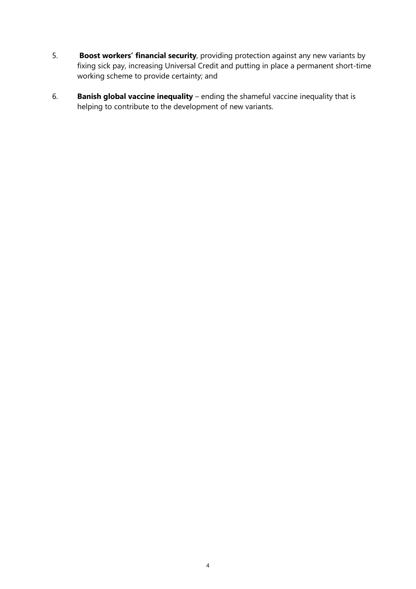- 5. **Boost workers' financial security**, providing protection against any new variants by fixing sick pay, increasing Universal Credit and putting in place a permanent short-time working scheme to provide certainty; and
- 6. **Banish global vaccine inequality** ending the shameful vaccine inequality that is helping to contribute to the development of new variants.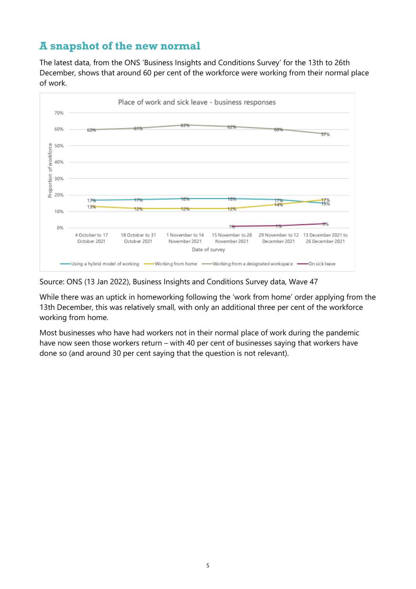# <span id="page-4-0"></span>**A snapshot of the new normal**

The latest data, from the ONS 'Business Insights and Conditions Survey' for the 13th to 26th December, shows that around 60 per cent of the workforce were working from their normal place of work.



Source: ONS (13 Jan 2022), Business Insights and Conditions Survey data, Wave 47

While there was an uptick in homeworking following the 'work from home' order applying from the 13th December, this was relatively small, with only an additional three per cent of the workforce working from home.

Most businesses who have had workers not in their normal place of work during the pandemic have now seen those workers return – with 40 per cent of businesses saying that workers have done so (and around 30 per cent saying that the question is not relevant).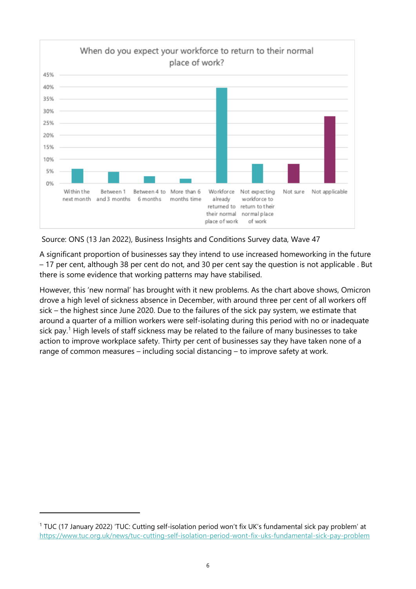

Source: ONS (13 Jan 2022), Business Insights and Conditions Survey data, Wave 47

A significant proportion of businesses say they intend to use increased homeworking in the future – 17 per cent, although 38 per cent do not, and 30 per cent say the question is not applicable . But there is some evidence that working patterns may have stabilised.

However, this 'new normal' has brought with it new problems. As the chart above shows, Omicron drove a high level of sickness absence in December, with around three per cent of all workers off sick – the highest since June 2020. Due to the failures of the sick pay system, we estimate that around a quarter of a million workers were self-isolating during this period with no or inadequate sick pay.<sup>[1](#page-5-0)</sup> High levels of staff sickness may be related to the failure of many businesses to take action to improve workplace safety. Thirty per cent of businesses say they have taken none of a range of common measures – including social distancing – to improve safety at work.

<span id="page-5-0"></span><sup>1</sup> TUC (17 January 2022) 'TUC: Cutting self-isolation period won't fix UK's fundamental sick pay problem' at <https://www.tuc.org.uk/news/tuc-cutting-self-isolation-period-wont-fix-uks-fundamental-sick-pay-problem>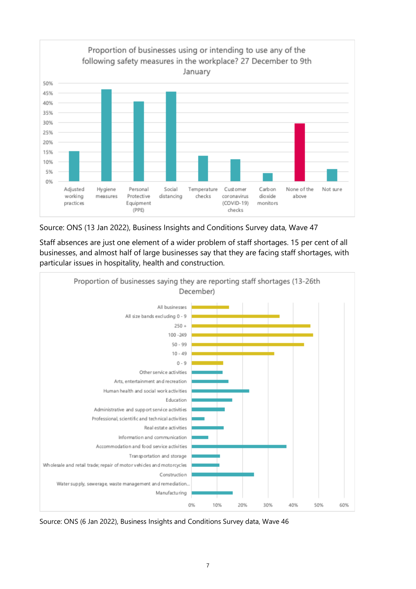

Source: ONS (13 Jan 2022), Business Insights and Conditions Survey data, Wave 47

Staff absences are just one element of a wider problem of staff shortages. 15 per cent of all businesses, and almost half of large businesses say that they are facing staff shortages, with particular issues in hospitality, health and construction.



Source: ONS (6 Jan 2022), Business Insights and Conditions Survey data, Wave 46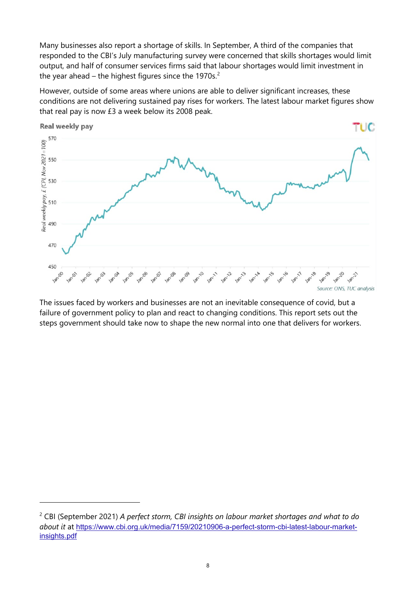Many businesses also report a shortage of skills. In September, A third of the companies that responded to the CBI's July manufacturing survey were concerned that skills shortages would limit output, and half of consumer services firms said that labour shortages would limit investment in the year ahead – the highest figures since the 1970s. $2$ 

However, outside of some areas where unions are able to deliver significant increases, these conditions are not delivering sustained pay rises for workers. The latest labour market figures show that real pay is now £3 a week below its 2008 peak.



The issues faced by workers and businesses are not an inevitable consequence of covid, but a failure of government policy to plan and react to changing conditions. This report sets out the steps government should take now to shape the new normal into one that delivers for workers.

<span id="page-7-0"></span><sup>2</sup> CBI (September 2021) *A perfect storm, CBI insights on labour market shortages and what to do about it* at [https://www.cbi.org.uk/media/7159/20210906-a-perfect-storm-cbi-latest-labour-market](https://www.cbi.org.uk/media/7159/20210906-a-perfect-storm-cbi-latest-labour-market-insights.pdf)[insights.pdf](https://www.cbi.org.uk/media/7159/20210906-a-perfect-storm-cbi-latest-labour-market-insights.pdf)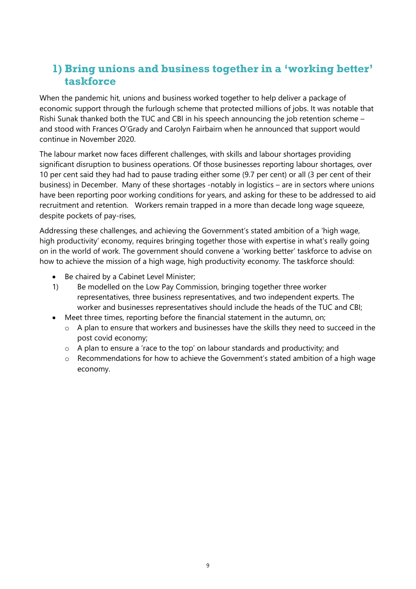# <span id="page-8-0"></span>**1) Bring unions and business together in a 'working better' taskforce**

When the pandemic hit, unions and business worked together to help deliver a package of economic support through the furlough scheme that protected millions of jobs. It was notable that Rishi Sunak thanked both the TUC and CBI in his speech announcing the job retention scheme – and stood with Frances O'Grady and Carolyn Fairbairn when he announced that support would continue in November 2020.

The labour market now faces different challenges, with skills and labour shortages providing significant disruption to business operations. Of those businesses reporting labour shortages, over 10 per cent said they had had to pause trading either some (9.7 per cent) or all (3 per cent of their business) in December. Many of these shortages -notably in logistics – are in sectors where unions have been reporting poor working conditions for years, and asking for these to be addressed to aid recruitment and retention. Workers remain trapped in a more than decade long wage squeeze, despite pockets of pay-rises,

Addressing these challenges, and achieving the Government's stated ambition of a 'high wage, high productivity' economy, requires bringing together those with expertise in what's really going on in the world of work. The government should convene a 'working better' taskforce to advise on how to achieve the mission of a high wage, high productivity economy. The taskforce should:

- Be chaired by a Cabinet Level Minister;
- 1) Be modelled on the Low Pay Commission, bringing together three worker representatives, three business representatives, and two independent experts. The worker and businesses representatives should include the heads of the TUC and CBI;
- Meet three times, reporting before the financial statement in the autumn, on;
	- o A plan to ensure that workers and businesses have the skills they need to succeed in the post covid economy;
	- o A plan to ensure a 'race to the top' on labour standards and productivity; and
	- $\circ$  Recommendations for how to achieve the Government's stated ambition of a high wage economy.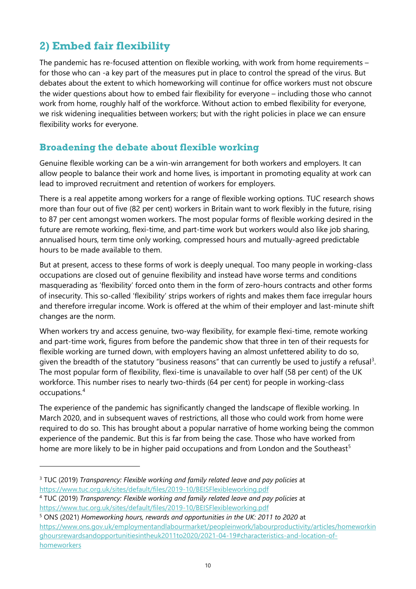# <span id="page-9-0"></span>**2) Embed fair flexibility**

The pandemic has re-focused attention on flexible working, with work from home requirements – for those who can -a key part of the measures put in place to control the spread of the virus. But debates about the extent to which homeworking will continue for office workers must not obscure the wider questions about how to embed fair flexibility for everyone – including those who cannot work from home, roughly half of the workforce. Without action to embed flexibility for everyone, we risk widening inequalities between workers; but with the right policies in place we can ensure flexibility works for everyone.

# **Broadening the debate about flexible working**

Genuine flexible working can be a win-win arrangement for both workers and employers. It can allow people to balance their work and home lives, is important in promoting equality at work can lead to improved recruitment and retention of workers for employers.

There is a real appetite among workers for a range of flexible working options. TUC research shows more than four out of five (82 per cent) workers in Britain want to work flexibly in the future, rising to 87 per cent amongst women workers. The most popular forms of flexible working desired in the future are remote working, flexi-time, and part-time work but workers would also like job sharing, annualised hours, term time only working, compressed hours and mutually-agreed predictable hours to be made available to them.

But at present, access to these forms of work is deeply unequal. Too many people in working-class occupations are closed out of genuine flexibility and instead have worse terms and conditions masquerading as 'flexibility' forced onto them in the form of zero-hours contracts and other forms of insecurity. This so-called 'flexibility' strips workers of rights and makes them face irregular hours and therefore irregular income. Work is offered at the whim of their employer and last-minute shift changes are the norm.

When workers try and access genuine, two-way flexibility, for example flexi-time, remote working and part-time work, figures from before the pandemic show that three in ten of their requests for flexible working are turned down, with employers having an almost unfettered ability to do so, given the breadth of the statutory "business reasons" that can currently be used to justify a refusal<sup>[3](#page-9-1)</sup>. The most popular form of flexibility, flexi-time is unavailable to over half (58 per cent) of the UK workforce. This number rises to nearly two-thirds (64 per cent) for people in working-class occupations.[4](#page-9-2)

The experience of the pandemic has significantly changed the landscape of flexible working. In March 2020, and in subsequent waves of restrictions, all those who could work from home were required to do so. This has brought about a popular narrative of home working being the common experience of the pandemic. But this is far from being the case. Those who have worked from home are more likely to be in higher paid occupations and from London and the Southeast<sup>[5](#page-9-3)</sup>

<span id="page-9-1"></span><sup>3</sup> TUC (2019) *Transparency: Flexible working and family related leave and pay policies* at <https://www.tuc.org.uk/sites/default/files/2019-10/BEISFlexibleworking.pdf>

<span id="page-9-2"></span><sup>4</sup> TUC (2019) *Transparency: Flexible working and family related leave and pay policies* at <https://www.tuc.org.uk/sites/default/files/2019-10/BEISFlexibleworking.pdf>

<span id="page-9-3"></span><sup>5</sup> ONS (2021) *Homeworking hours, rewards and opportunities in the UK: 2011 to 2020* at [https://www.ons.gov.uk/employmentandlabourmarket/peopleinwork/labourproductivity/articles/homeworkin](https://www.ons.gov.uk/employmentandlabourmarket/peopleinwork/labourproductivity/articles/homeworkinghoursrewardsandopportunitiesintheuk2011to2020/2021-04-19#characteristics-and-location-of-homeworkers) [ghoursrewardsandopportunitiesintheuk2011to2020/2021-04-19#characteristics-and-location-of](https://www.ons.gov.uk/employmentandlabourmarket/peopleinwork/labourproductivity/articles/homeworkinghoursrewardsandopportunitiesintheuk2011to2020/2021-04-19#characteristics-and-location-of-homeworkers)[homeworkers](https://www.ons.gov.uk/employmentandlabourmarket/peopleinwork/labourproductivity/articles/homeworkinghoursrewardsandopportunitiesintheuk2011to2020/2021-04-19#characteristics-and-location-of-homeworkers)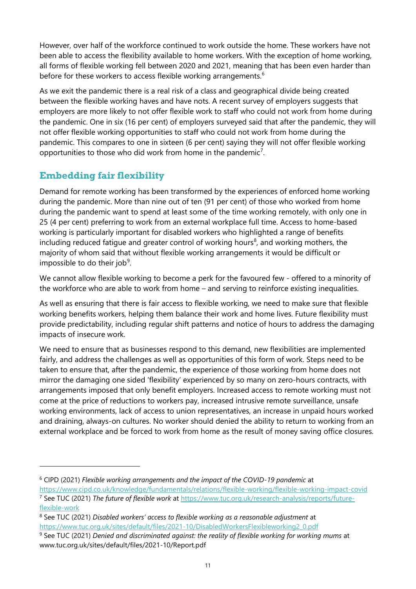However, over half of the workforce continued to work outside the home. These workers have not been able to access the flexibility available to home workers. With the exception of home working, all forms of flexible working fell between 2020 and 2021, meaning that has been even harder than before for these workers to access flexible working arrangements. $6$ 

As we exit the pandemic there is a real risk of a class and geographical divide being created between the flexible working haves and have nots. A recent survey of employers suggests that employers are more likely to not offer flexible work to staff who could not work from home during the pandemic. One in six (16 per cent) of employers surveyed said that after the pandemic, they will not offer flexible working opportunities to staff who could not work from home during the pandemic. This compares to one in sixteen (6 per cent) saying they will not offer flexible working opportunities to those who did work from home in the pandemic<sup>[7](#page-10-1)</sup>.

# **Embedding fair flexibility**

Demand for remote working has been transformed by the experiences of enforced home working during the pandemic. More than nine out of ten (91 per cent) of those who worked from home during the pandemic want to spend at least some of the time working remotely, with only one in 25 (4 per cent) preferring to work from an external workplace full time. Access to home-based working is particularly important for disabled workers who highlighted a range of benefits including reduced fatigue and greater control of working hours<sup>[8](#page-10-2)</sup>, and working mothers, the majority of whom said that without flexible working arrangements it would be difficult or impossible to do their job $9$ .

We cannot allow flexible working to become a perk for the favoured few - offered to a minority of the workforce who are able to work from home – and serving to reinforce existing inequalities.

As well as ensuring that there is fair access to flexible working, we need to make sure that flexible working benefits workers, helping them balance their work and home lives. Future flexibility must provide predictability, including regular shift patterns and notice of hours to address the damaging impacts of insecure work.

We need to ensure that as businesses respond to this demand, new flexibilities are implemented fairly, and address the challenges as well as opportunities of this form of work. Steps need to be taken to ensure that, after the pandemic, the experience of those working from home does not mirror the damaging one sided 'flexibility' experienced by so many on zero-hours contracts, with arrangements imposed that only benefit employers. Increased access to remote working must not come at the price of reductions to workers pay, increased intrusive remote surveillance, unsafe working environments, lack of access to union representatives, an increase in unpaid hours worked and draining, always-on cultures. No worker should denied the ability to return to working from an external workplace and be forced to work from home as the result of money saving office closures.

<span id="page-10-0"></span><sup>6</sup> CIPD (2021) *Flexible working arrangements and the impact of the COVID-19 pandemic* at

<https://www.cipd.co.uk/knowledge/fundamentals/relations/flexible-working/flexible-working-impact-covid>

<span id="page-10-1"></span><sup>7</sup> See TUC (2021) *The future of flexible work* at [https://www.tuc.org.uk/research-analysis/reports/future](https://www.tuc.org.uk/research-analysis/reports/future-flexible-work)[flexible-work](https://www.tuc.org.uk/research-analysis/reports/future-flexible-work)

<span id="page-10-2"></span><sup>8</sup> See TUC (2021) *Disabled workers' access to flexible working as a reasonable adjustment* at [https://www.tuc.org.uk/sites/default/files/2021-10/DisabledWorkersFlexibleworking2\\_0.pdf](https://www.tuc.org.uk/sites/default/files/2021-10/DisabledWorkersFlexibleworking2_0.pdf)

<span id="page-10-3"></span><sup>9</sup> See TUC (2021) *Denied and discriminated against: the reality of flexible working for working mums* at www.tuc.org.uk/sites/default/files/2021-10/Report.pdf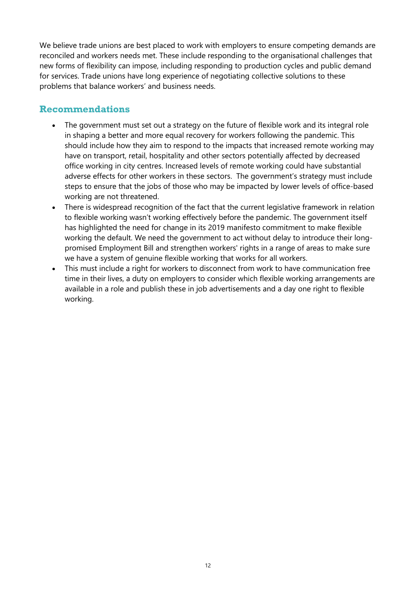We believe trade unions are best placed to work with employers to ensure competing demands are reconciled and workers needs met. These include responding to the organisational challenges that new forms of flexibility can impose, including responding to production cycles and public demand for services. Trade unions have long experience of negotiating collective solutions to these problems that balance workers' and business needs.

#### **Recommendations**

- The government must set out a strategy on the future of flexible work and its integral role in shaping a better and more equal recovery for workers following the pandemic. This should include how they aim to respond to the impacts that increased remote working may have on transport, retail, hospitality and other sectors potentially affected by decreased office working in city centres. Increased levels of remote working could have substantial adverse effects for other workers in these sectors. The government's strategy must include steps to ensure that the jobs of those who may be impacted by lower levels of office-based working are not threatened.
- There is widespread recognition of the fact that the current legislative framework in relation to flexible working wasn't working effectively before the pandemic. The government itself has highlighted the need for change in its 2019 manifesto commitment to make flexible working the default. We need the government to act without delay to introduce their longpromised Employment Bill and strengthen workers' rights in a range of areas to make sure we have a system of genuine flexible working that works for all workers.
- This must include a right for workers to disconnect from work to have communication free time in their lives, a duty on employers to consider which flexible working arrangements are available in a role and publish these in job advertisements and a day one right to flexible working.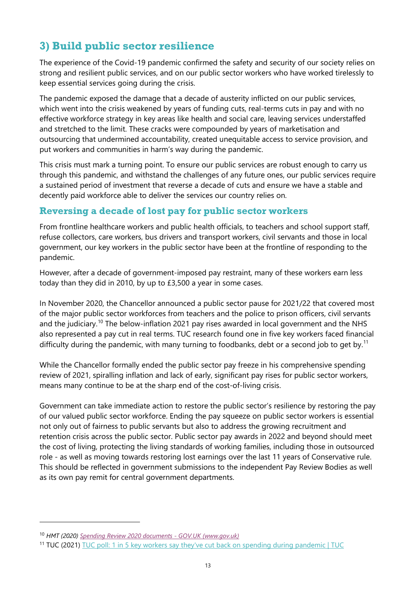# <span id="page-12-0"></span>**3) Build public sector resilience**

The experience of the Covid-19 pandemic confirmed the safety and security of our society relies on strong and resilient public services, and on our public sector workers who have worked tirelessly to keep essential services going during the crisis.

The pandemic exposed the damage that a decade of austerity inflicted on our public services, which went into the crisis weakened by years of funding cuts, real-terms cuts in pay and with no effective workforce strategy in key areas like health and social care, leaving services understaffed and stretched to the limit. These cracks were compounded by years of marketisation and outsourcing that undermined accountability, created unequitable access to service provision, and put workers and communities in harm's way during the pandemic.

This crisis must mark a turning point. To ensure our public services are robust enough to carry us through this pandemic, and withstand the challenges of any future ones, our public services require a sustained period of investment that reverse a decade of cuts and ensure we have a stable and decently paid workforce able to deliver the services our country relies on.

### **Reversing a decade of lost pay for public sector workers**

From frontline healthcare workers and public health officials, to teachers and school support staff, refuse collectors, care workers, bus drivers and transport workers, civil servants and those in local government, our key workers in the public sector have been at the frontline of responding to the pandemic.

However, after a decade of government-imposed pay restraint, many of these workers earn less today than they did in 2010, by up to £3,500 a year in some cases.

In November 2020, the Chancellor announced a public sector pause for 2021/22 that covered most of the major public sector workforces from teachers and the police to prison officers, civil servants and the judiciary.<sup>[10](#page-12-1)</sup> The below-inflation 2021 pay rises awarded in local government and the NHS also represented a pay cut in real terms. TUC research found one in five key workers faced financial difficulty during the pandemic, with many turning to foodbanks, debt or a second job to get by.<sup>[11](#page-12-2)</sup>

While the Chancellor formally ended the public sector pay freeze in his comprehensive spending review of 2021, spiralling inflation and lack of early, significant pay rises for public sector workers, means many continue to be at the sharp end of the cost-of-living crisis.

Government can take immediate action to restore the public sector's resilience by restoring the pay of our valued public sector workforce. Ending the pay squeeze on public sector workers is essential not only out of fairness to public servants but also to address the growing recruitment and retention crisis across the public sector. Public sector pay awards in 2022 and beyond should meet the cost of living, protecting the living standards of working families, including those in outsourced role - as well as moving towards restoring lost earnings over the last 11 years of Conservative rule. This should be reflected in government submissions to the independent Pay Review Bodies as well as its own pay remit for central government departments.

<span id="page-12-1"></span><sup>10</sup> *HMT (2020) [Spending Review 2020 documents -](https://www.gov.uk/government/publications/spending-review-2020-documents) GOV.UK (www.gov.uk)*

<span id="page-12-2"></span><sup>11</sup> TUC (2021) [TUC poll: 1 in 5 key workers say they've cut back on spending during pandemic | TUC](https://www.tuc.org.uk/news/tuc-poll-1-5-key-workers-say-theyve-cut-back-spending-during-pandemic)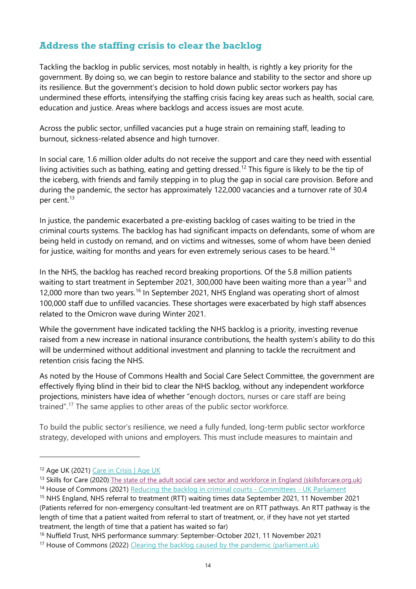### **Address the staffing crisis to clear the backlog**

Tackling the backlog in public services, most notably in health, is rightly a key priority for the government. By doing so, we can begin to restore balance and stability to the sector and shore up its resilience. But the government's decision to hold down public sector workers pay has undermined these efforts, intensifying the staffing crisis facing key areas such as health, social care, education and justice. Areas where backlogs and access issues are most acute.

Across the public sector, unfilled vacancies put a huge strain on remaining staff, leading to burnout, sickness-related absence and high turnover.

In social care, 1.6 million older adults do not receive the support and care they need with essential living activities such as bathing, eating and getting dressed.<sup>[12](#page-13-0)</sup> This figure is likely to be the tip of the iceberg, with friends and family stepping in to plug the gap in social care provision. Before and during the pandemic, the sector has approximately 122,000 vacancies and a turnover rate of 30.4 per cent.[13](#page-13-1)

In justice, the pandemic exacerbated a pre-existing backlog of cases waiting to be tried in the criminal courts systems. The backlog has had significant impacts on defendants, some of whom are being held in custody on remand, and on victims and witnesses, some of whom have been denied for justice, waiting for months and years for even extremely serious cases to be heard.<sup>[14](#page-13-2)</sup>

In the NHS, the backlog has reached record breaking proportions. Of the 5.8 million patients waiting to start treatment in September 2021, 300,000 have been waiting more than a year<sup>[15](#page-13-3)</sup> and 12,000 more than two vears.<sup>[16](#page-13-4)</sup> In September 2021, NHS England was operating short of almost 100,000 staff due to unfilled vacancies. These shortages were exacerbated by high staff absences related to the Omicron wave during Winter 2021.

While the government have indicated tackling the NHS backlog is a priority, investing revenue raised from a new increase in national insurance contributions, the health system's ability to do this will be undermined without additional investment and planning to tackle the recruitment and retention crisis facing the NHS.

As noted by the House of Commons Health and Social Care Select Committee, the government are effectively flying blind in their bid to clear the NHS backlog, without any independent workforce projections, ministers have idea of whether "enough doctors, nurses or care staff are being trained".<sup>[17](#page-13-5)</sup> The same applies to other areas of the public sector workforce.

To build the public sector's resilience, we need a fully funded, long-term public sector workforce strategy, developed with unions and employers. This must include measures to maintain and

<span id="page-13-4"></span><sup>16</sup> Nuffield Trust, NHS performance summary: September-October 2021, 11 November 2021

<span id="page-13-0"></span><sup>12</sup> Age UK (2021) [Care in Crisis | Age UK](https://www.ageuk.org.uk/our-impact/campaigning/care-in-crisis/)

<span id="page-13-1"></span><sup>&</sup>lt;sup>13</sup> Skills for Care (2020) [The state of the adult social care sector and workforce in England \(skillsforcare.org.uk\)](https://www.skillsforcare.org.uk/adult-social-care-workforce-data/Workforce-intelligence/publications/national-information/The-state-of-the-adult-social-care-sector-and-workforce-in-England.aspx)

<span id="page-13-2"></span><sup>&</sup>lt;sup>14</sup> House of Commons (2021) [Reducing the backlog in criminal courts -](https://committees.parliament.uk/work/1521/reducing-the-backlog-in-criminal-courts/) Committees - UK Parliament

<span id="page-13-3"></span><sup>15</sup> NHS England, NHS referral to treatment (RTT) waiting times data September 2021, 11 November 2021 (Patients referred for non-emergency consultant-led treatment are on RTT pathways. An RTT pathway is the length of time that a patient waited from referral to start of treatment, or, if they have not yet started treatment, the length of time that a patient has waited so far)

<span id="page-13-5"></span><sup>&</sup>lt;sup>17</sup> House of Commons (2022) [Clearing the backlog caused by the pandemic \(parliament.uk\)](https://committees.parliament.uk/publications/8352/documents/85020/default/)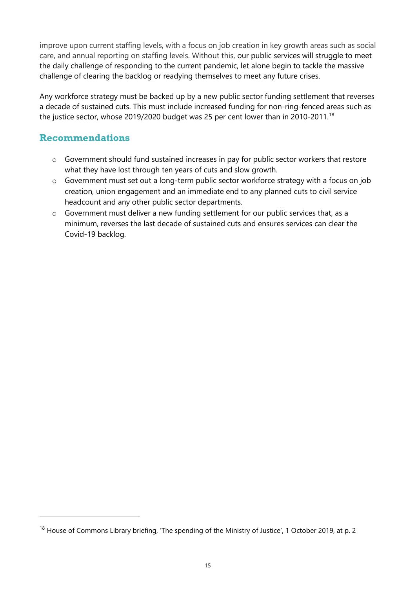improve upon current staffing levels, with a focus on job creation in key growth areas such as social care, and annual reporting on staffing levels. Without this, our public services will struggle to meet the daily challenge of responding to the current pandemic, let alone begin to tackle the massive challenge of clearing the backlog or readying themselves to meet any future crises.

Any workforce strategy must be backed up by a new public sector funding settlement that reverses a decade of sustained cuts. This must include increased funding for non-ring-fenced areas such as the justice sector, whose 2019/2020 budget was 25 per cent lower than in 2010-2011.<sup>[18](#page-14-0)</sup>

### **Recommendations**

- o Government should fund sustained increases in pay for public sector workers that restore what they have lost through ten years of cuts and slow growth.
- o Government must set out a long-term public sector workforce strategy with a focus on job creation, union engagement and an immediate end to any planned cuts to civil service headcount and any other public sector departments.
- o Government must deliver a new funding settlement for our public services that, as a minimum, reverses the last decade of sustained cuts and ensures services can clear the Covid-19 backlog.

<span id="page-14-0"></span><sup>&</sup>lt;sup>18</sup> House of Commons Library briefing, 'The spending of the Ministry of Justice', 1 October 2019, at p. 2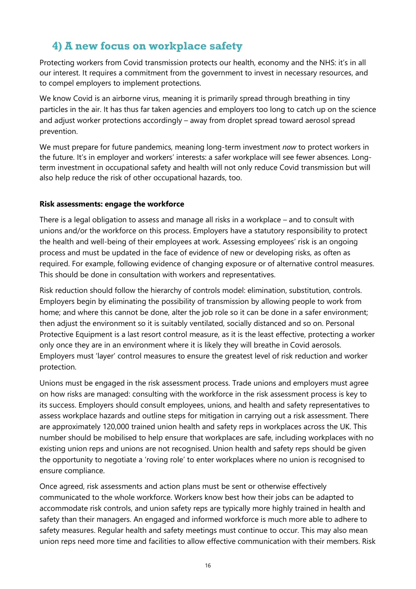# <span id="page-15-0"></span>**4) A new focus on workplace safety**

Protecting workers from Covid transmission protects our health, economy and the NHS: it's in all our interest. It requires a commitment from the government to invest in necessary resources, and to compel employers to implement protections.

We know Covid is an airborne virus, meaning it is primarily spread through breathing in tiny particles in the air. It has thus far taken agencies and employers too long to catch up on the science and adjust worker protections accordingly – away from droplet spread toward aerosol spread prevention.

We must prepare for future pandemics, meaning long-term investment *now* to protect workers in the future. It's in employer and workers' interests: a safer workplace will see fewer absences. Longterm investment in occupational safety and health will not only reduce Covid transmission but will also help reduce the risk of other occupational hazards, too.

#### **Risk assessments: engage the workforce**

There is a legal obligation to assess and manage all risks in a workplace – and to consult with unions and/or the workforce on this process. Employers have a statutory responsibility to protect the health and well-being of their employees at work. Assessing employees' risk is an ongoing process and must be updated in the face of evidence of new or developing risks, as often as required. For example, following evidence of changing exposure or of alternative control measures. This should be done in consultation with workers and representatives.

Risk reduction should follow the hierarchy of controls model: elimination, substitution, controls. Employers begin by eliminating the possibility of transmission by allowing people to work from home; and where this cannot be done, alter the job role so it can be done in a safer environment; then adjust the environment so it is suitably ventilated, socially distanced and so on. Personal Protective Equipment is a last resort control measure, as it is the least effective, protecting a worker only once they are in an environment where it is likely they will breathe in Covid aerosols. Employers must 'layer' control measures to ensure the greatest level of risk reduction and worker protection.

Unions must be engaged in the risk assessment process. Trade unions and employers must agree on how risks are managed: consulting with the workforce in the risk assessment process is key to its success. Employers should consult employees, unions, and health and safety representatives to assess workplace hazards and outline steps for mitigation in carrying out a risk assessment. There are approximately 120,000 trained union health and safety reps in workplaces across the UK. This number should be mobilised to help ensure that workplaces are safe, including workplaces with no existing union reps and unions are not recognised. Union health and safety reps should be given the opportunity to negotiate a 'roving role' to enter workplaces where no union is recognised to ensure compliance.

Once agreed, risk assessments and action plans must be sent or otherwise effectively communicated to the whole workforce. Workers know best how their jobs can be adapted to accommodate risk controls, and union safety reps are typically more highly trained in health and safety than their managers. An engaged and informed workforce is much more able to adhere to safety measures. Regular health and safety meetings must continue to occur. This may also mean union reps need more time and facilities to allow effective communication with their members. Risk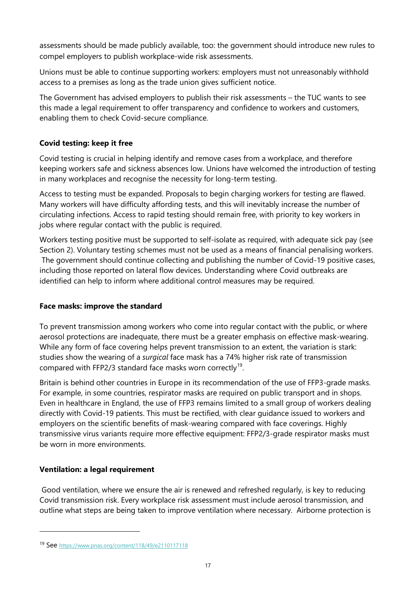assessments should be made publicly available, too: the government should introduce new rules to compel employers to publish workplace-wide risk assessments.

Unions must be able to continue supporting workers: employers must not unreasonably withhold access to a premises as long as the trade union gives sufficient notice.

The Government has advised employers to publish their risk assessments – the TUC wants to see this made a legal requirement to offer transparency and confidence to workers and customers, enabling them to check Covid-secure compliance.

#### **Covid testing: keep it free**

Covid testing is crucial in helping identify and remove cases from a workplace, and therefore keeping workers safe and sickness absences low. Unions have welcomed the introduction of testing in many workplaces and recognise the necessity for long-term testing.

Access to testing must be expanded. Proposals to begin charging workers for testing are flawed. Many workers will have difficulty affording tests, and this will inevitably increase the number of circulating infections. Access to rapid testing should remain free, with priority to key workers in jobs where regular contact with the public is required.

Workers testing positive must be supported to self-isolate as required, with adequate sick pay (see Section 2). Voluntary testing schemes must not be used as a means of financial penalising workers. The government should continue collecting and publishing the number of Covid-19 positive cases, including those reported on lateral flow devices. Understanding where Covid outbreaks are identified can help to inform where additional control measures may be required.

#### **Face masks: improve the standard**

To prevent transmission among workers who come into regular contact with the public, or where aerosol protections are inadequate, there must be a greater emphasis on effective mask-wearing. While any form of face covering helps prevent transmission to an extent, the variation is stark: studies show the wearing of a *surgical* face mask has a 74% higher risk rate of transmission compared with FFP2/3 standard face masks worn correctly<sup>19</sup>.

Britain is behind other countries in Europe in its recommendation of the use of FFP3-grade masks. For example, in some countries, respirator masks are required on public transport and in shops. Even in healthcare in England, the use of FFP3 remains limited to a small group of workers dealing directly with Covid-19 patients. This must be rectified, with clear guidance issued to workers and employers on the scientific benefits of mask-wearing compared with face coverings. Highly transmissive virus variants require more effective equipment: FFP2/3-grade respirator masks must be worn in more environments.

#### **Ventilation: a legal requirement**

Good ventilation, where we ensure the air is renewed and refreshed regularly, is key to reducing Covid transmission risk. Every workplace risk assessment must include aerosol transmission, and outline what steps are being taken to improve ventilation where necessary. Airborne protection is

<span id="page-16-0"></span><sup>19</sup> See<https://www.pnas.org/content/118/49/e2110117118>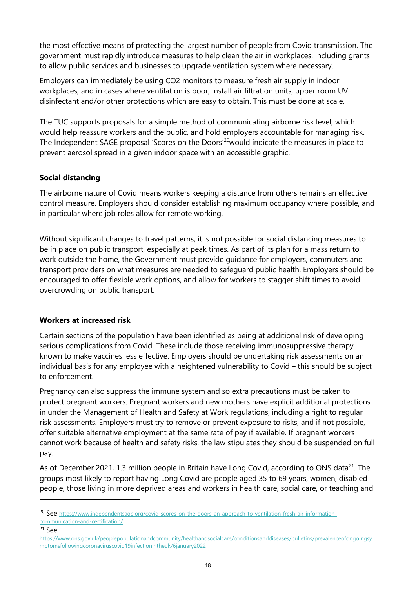the most effective means of protecting the largest number of people from Covid transmission. The government must rapidly introduce measures to help clean the air in workplaces, including grants to allow public services and businesses to upgrade ventilation system where necessary.

Employers can immediately be using CO2 monitors to measure fresh air supply in indoor workplaces, and in cases where ventilation is poor, install air filtration units, upper room UV disinfectant and/or other protections which are easy to obtain. This must be done at scale.

The TUC supports proposals for a simple method of communicating airborne risk level, which would help reassure workers and the public, and hold employers accountable for managing risk. The Independent SAGE proposal 'Scores on the Doors<sup>'[20](#page-17-0)</sup>would indicate the measures in place to prevent aerosol spread in a given indoor space with an accessible graphic.

#### **Social distancing**

The airborne nature of Covid means workers keeping a distance from others remains an effective control measure. Employers should consider establishing maximum occupancy where possible, and in particular where job roles allow for remote working.

Without significant changes to travel patterns, it is not possible for social distancing measures to be in place on public transport, especially at peak times. As part of its plan for a mass return to work outside the home, the Government must provide guidance for employers, commuters and transport providers on what measures are needed to safeguard public health. Employers should be encouraged to offer flexible work options, and allow for workers to stagger shift times to avoid overcrowding on public transport.

#### **Workers at increased risk**

Certain sections of the population have been identified as being at additional risk of developing serious complications from Covid. These include those receiving immunosuppressive therapy known to make vaccines less effective. Employers should be undertaking risk assessments on an individual basis for any employee with a heightened vulnerability to Covid – this should be subject to enforcement.

Pregnancy can also suppress the immune system and so extra precautions must be taken to protect pregnant workers. Pregnant workers and new mothers have explicit additional protections in under the Management of Health and Safety at Work regulations, including a right to regular risk assessments. Employers must try to remove or prevent exposure to risks, and if not possible, offer suitable alternative employment at the same rate of pay if available. If pregnant workers cannot work because of health and safety risks, the law stipulates they should be suspended on full pay.

As of December 2021, 1.3 million people in Britain have Long Covid, according to ONS data<sup>21</sup>. The groups most likely to report having Long Covid are people aged 35 to 69 years, women, disabled people, those living in more deprived areas and workers in health care, social care, or teaching and

<span id="page-17-0"></span><sup>20</sup> See [https://www.independentsage.org/covid-scores-on-the-doors-an-approach-to-ventilation-fresh-air-information](https://www.independentsage.org/covid-scores-on-the-doors-an-approach-to-ventilation-fresh-air-information-communication-and-certification/)[communication-and-certification/](https://www.independentsage.org/covid-scores-on-the-doors-an-approach-to-ventilation-fresh-air-information-communication-and-certification/)

<span id="page-17-1"></span><sup>21</sup> See

[https://www.ons.gov.uk/peoplepopulationandcommunity/healthandsocialcare/conditionsanddiseases/bulletins/prevalenceofongoingsy](https://www.ons.gov.uk/peoplepopulationandcommunity/healthandsocialcare/conditionsanddiseases/bulletins/prevalenceofongoingsymptomsfollowingcoronaviruscovid19infectionintheuk/6january2022) [mptomsfollowingcoronaviruscovid19infectionintheuk/6january2022](https://www.ons.gov.uk/peoplepopulationandcommunity/healthandsocialcare/conditionsanddiseases/bulletins/prevalenceofongoingsymptomsfollowingcoronaviruscovid19infectionintheuk/6january2022)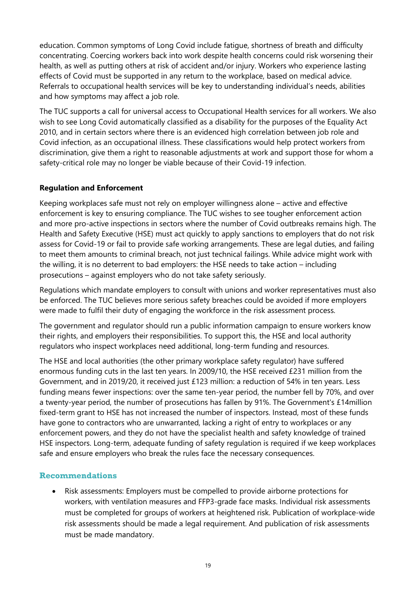education. Common symptoms of Long Covid include fatigue, shortness of breath and difficulty concentrating. Coercing workers back into work despite health concerns could risk worsening their health, as well as putting others at risk of accident and/or injury. Workers who experience lasting effects of Covid must be supported in any return to the workplace, based on medical advice. Referrals to occupational health services will be key to understanding individual's needs, abilities and how symptoms may affect a job role.

The TUC supports a call for universal access to Occupational Health services for all workers. We also wish to see Long Covid automatically classified as a disability for the purposes of the Equality Act 2010, and in certain sectors where there is an evidenced high correlation between job role and Covid infection, as an occupational illness. These classifications would help protect workers from discrimination, give them a right to reasonable adjustments at work and support those for whom a safety-critical role may no longer be viable because of their Covid-19 infection.

#### **Regulation and Enforcement**

Keeping workplaces safe must not rely on employer willingness alone – active and effective enforcement is key to ensuring compliance. The TUC wishes to see tougher enforcement action and more pro-active inspections in sectors where the number of Covid outbreaks remains high. The Health and Safety Executive (HSE) must act quickly to apply sanctions to employers that do not risk assess for Covid-19 or fail to provide safe working arrangements. These are legal duties, and failing to meet them amounts to criminal breach, not just technical failings. While advice might work with the willing, it is no deterrent to bad employers: the HSE needs to take action – including prosecutions – against employers who do not take safety seriously.

Regulations which mandate employers to consult with unions and worker representatives must also be enforced. The TUC believes more serious safety breaches could be avoided if more employers were made to fulfil their duty of engaging the workforce in the risk assessment process.

The government and regulator should run a public information campaign to ensure workers know their rights, and employers their responsibilities. To support this, the HSE and local authority regulators who inspect workplaces need additional, long-term funding and resources.

The HSE and local authorities (the other primary workplace safety regulator) have suffered enormous funding cuts in the last ten years. In 2009/10, the HSE received £231 million from the Government, and in 2019/20, it received just £123 million: a reduction of 54% in ten years. Less funding means fewer inspections: over the same ten-year period, the number fell by 70%, and over a twenty-year period, the number of prosecutions has fallen by 91%. The Government's £14million fixed-term grant to HSE has not increased the number of inspectors. Instead, most of these funds have gone to contractors who are unwarranted, lacking a right of entry to workplaces or any enforcement powers, and they do not have the specialist health and safety knowledge of trained HSE inspectors. Long-term, adequate funding of safety regulation is required if we keep workplaces safe and ensure employers who break the rules face the necessary consequences.

#### **Recommendations**

• Risk assessments: Employers must be compelled to provide airborne protections for workers, with ventilation measures and FFP3-grade face masks. Individual risk assessments must be completed for groups of workers at heightened risk. Publication of workplace-wide risk assessments should be made a legal requirement. And publication of risk assessments must be made mandatory.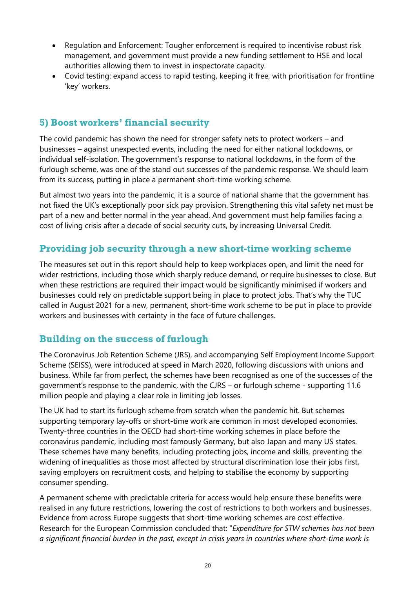- Regulation and Enforcement: Tougher enforcement is required to incentivise robust risk management, and government must provide a new funding settlement to HSE and local authorities allowing them to invest in inspectorate capacity.
- Covid testing: expand access to rapid testing, keeping it free, with prioritisation for frontline 'key' workers.

### <span id="page-19-0"></span>**5) Boost workers' financial security**

The covid pandemic has shown the need for stronger safety nets to protect workers – and businesses – against unexpected events, including the need for either national lockdowns, or individual self-isolation. The government's response to national lockdowns, in the form of the furlough scheme, was one of the stand out successes of the pandemic response. We should learn from its success, putting in place a permanent short-time working scheme.

But almost two years into the pandemic, it is a source of national shame that the government has not fixed the UK's exceptionally poor sick pay provision. Strengthening this vital safety net must be part of a new and better normal in the year ahead. And government must help families facing a cost of living crisis after a decade of social security cuts, by increasing Universal Credit.

### **Providing job security through a new short-time working scheme**

The measures set out in this report should help to keep workplaces open, and limit the need for wider restrictions, including those which sharply reduce demand, or require businesses to close. But when these restrictions are required their impact would be significantly minimised if workers and businesses could rely on predictable support being in place to protect jobs. That's why the TUC called in August 2021 for a new, permanent, short-time work scheme to be put in place to provide workers and businesses with certainty in the face of future challenges.

### **Building on the success of furlough**

The Coronavirus Job Retention Scheme (JRS), and accompanying Self Employment Income Support Scheme (SEISS), were introduced at speed in March 2020, following discussions with unions and business. While far from perfect, the schemes have been recognised as one of the successes of the government's response to the pandemic, with the CJRS – or furlough scheme - supporting 11.6 million people and playing a clear role in limiting job losses.

The UK had to start its furlough scheme from scratch when the pandemic hit. But schemes supporting temporary lay-offs or short-time work are common in most developed economies. Twenty-three countries in the OECD had short-time working schemes in place before the coronavirus pandemic, including most famously Germany, but also Japan and many US states. These schemes have many benefits, including protecting jobs, income and skills, preventing the widening of inequalities as those most affected by structural discrimination lose their jobs first, saving employers on recruitment costs, and helping to stabilise the economy by supporting consumer spending.

A permanent scheme with predictable criteria for access would help ensure these benefits were realised in any future restrictions, lowering the cost of restrictions to both workers and businesses. Evidence from across Europe suggests that short-time working schemes are cost effective. Research for the European Commission concluded that: "*Expenditure for STW schemes has not been a significant financial burden in the past, except in crisis years in countries where short-time work is*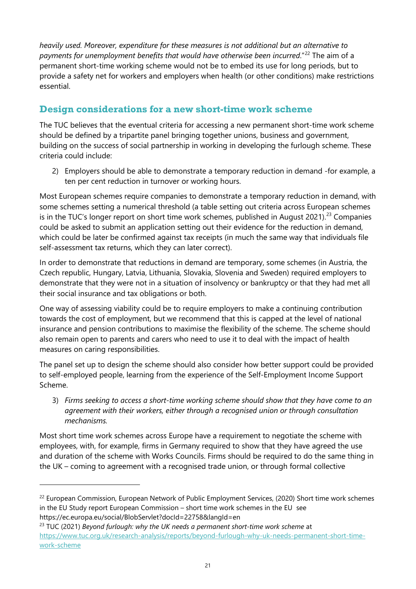*heavily used. Moreover, expenditure for these measures is not additional but an alternative to payments for unemployment benefits that would have otherwise been incurred."*<sup>[22](#page-20-0)</sup> The aim of a permanent short-time working scheme would not be to embed its use for long periods, but to provide a safety net for workers and employers when health (or other conditions) make restrictions essential.

### **Design considerations for a new short-time work scheme**

The TUC believes that the eventual criteria for accessing a new permanent short-time work scheme should be defined by a tripartite panel bringing together unions, business and government, building on the success of social partnership in working in developing the furlough scheme. These criteria could include:

2) Employers should be able to demonstrate a temporary reduction in demand -for example, a ten per cent reduction in turnover or working hours.

Most European schemes require companies to demonstrate a temporary reduction in demand, with some schemes setting a numerical threshold (a table setting out criteria across European schemes is in the TUC's longer report on short time work schemes, published in August 2021).<sup>[23](#page-20-1)</sup> Companies could be asked to submit an application setting out their evidence for the reduction in demand, which could be later be confirmed against tax receipts (in much the same way that individuals file self-assessment tax returns, which they can later correct).

In order to demonstrate that reductions in demand are temporary, some schemes (in Austria, the Czech republic, Hungary, Latvia, Lithuania, Slovakia, Slovenia and Sweden) required employers to demonstrate that they were not in a situation of insolvency or bankruptcy or that they had met all their social insurance and tax obligations or both.

One way of assessing viability could be to require employers to make a continuing contribution towards the cost of employment, but we recommend that this is capped at the level of national insurance and pension contributions to maximise the flexibility of the scheme. The scheme should also remain open to parents and carers who need to use it to deal with the impact of health measures on caring responsibilities.

The panel set up to design the scheme should also consider how better support could be provided to self-employed people, learning from the experience of the Self-Employment Income Support Scheme.

3) *Firms seeking to access a short-time working scheme should show that they have come to an agreement with their workers, either through a recognised union or through consultation mechanisms.*

Most short time work schemes across Europe have a requirement to negotiate the scheme with employees, with, for example, firms in Germany required to show that they have agreed the use and duration of the scheme with Works Councils. Firms should be required to do the same thing in the UK – coming to agreement with a recognised trade union, or through formal collective

<span id="page-20-1"></span><sup>23</sup> TUC (2021) *Beyond furlough: why the UK needs a permanent short-time work scheme* at [https://www.tuc.org.uk/research-analysis/reports/beyond-furlough-why-uk-needs-permanent-short-time](https://www.tuc.org.uk/research-analysis/reports/beyond-furlough-why-uk-needs-permanent-short-time-work-scheme)[work-scheme](https://www.tuc.org.uk/research-analysis/reports/beyond-furlough-why-uk-needs-permanent-short-time-work-scheme)

<span id="page-20-0"></span><sup>&</sup>lt;sup>22</sup> European Commission, European Network of Public Employment Services, (2020) Short time work schemes in the EU Study report European Commission – short time work schemes in the EU see https://ec.europa.eu/social/BlobServlet?docId=22758&langId=en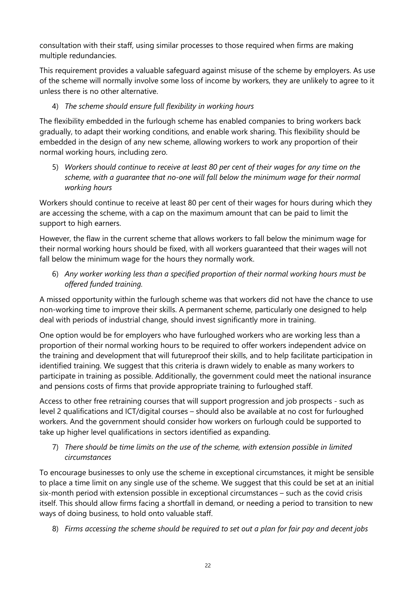consultation with their staff, using similar processes to those required when firms are making multiple redundancies.

This requirement provides a valuable safeguard against misuse of the scheme by employers. As use of the scheme will normally involve some loss of income by workers, they are unlikely to agree to it unless there is no other alternative.

#### 4) *The scheme should ensure full flexibility in working hours*

The flexibility embedded in the furlough scheme has enabled companies to bring workers back gradually, to adapt their working conditions, and enable work sharing. This flexibility should be embedded in the design of any new scheme, allowing workers to work any proportion of their normal working hours, including zero.

5) *Workers should continue to receive at least 80 per cent of their wages for any time on the scheme, with a guarantee that no-one will fall below the minimum wage for their normal working hours*

Workers should continue to receive at least 80 per cent of their wages for hours during which they are accessing the scheme, with a cap on the maximum amount that can be paid to limit the support to high earners.

However, the flaw in the current scheme that allows workers to fall below the minimum wage for their normal working hours should be fixed, with all workers guaranteed that their wages will not fall below the minimum wage for the hours they normally work.

6) *Any worker working less than a specified proportion of their normal working hours must be offered funded training.*

A missed opportunity within the furlough scheme was that workers did not have the chance to use non-working time to improve their skills. A permanent scheme, particularly one designed to help deal with periods of industrial change, should invest significantly more in training.

One option would be for employers who have furloughed workers who are working less than a proportion of their normal working hours to be required to offer workers independent advice on the training and development that will futureproof their skills, and to help facilitate participation in identified training. We suggest that this criteria is drawn widely to enable as many workers to participate in training as possible. Additionally, the government could meet the national insurance and pensions costs of firms that provide appropriate training to furloughed staff.

Access to other free retraining courses that will support progression and job prospects - such as level 2 qualifications and ICT/digital courses – should also be available at no cost for furloughed workers. And the government should consider how workers on furlough could be supported to take up higher level qualifications in sectors identified as expanding.

#### 7) *There should be time limits on the use of the scheme, with extension possible in limited circumstances*

To encourage businesses to only use the scheme in exceptional circumstances, it might be sensible to place a time limit on any single use of the scheme. We suggest that this could be set at an initial six-month period with extension possible in exceptional circumstances – such as the covid crisis itself. This should allow firms facing a shortfall in demand, or needing a period to transition to new ways of doing business, to hold onto valuable staff.

8) *Firms accessing the scheme should be required to set out a plan for fair pay and decent jobs*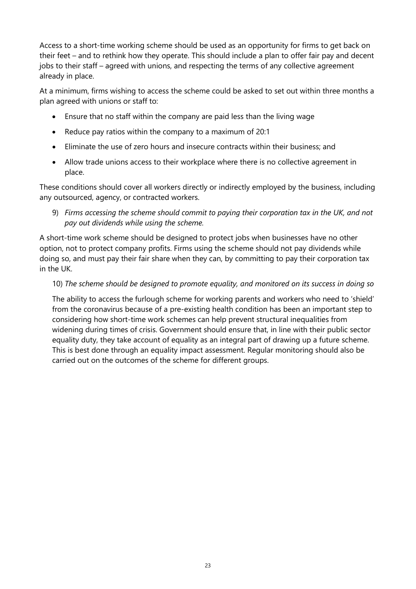Access to a short-time working scheme should be used as an opportunity for firms to get back on their feet – and to rethink how they operate. This should include a plan to offer fair pay and decent jobs to their staff – agreed with unions, and respecting the terms of any collective agreement already in place.

At a minimum, firms wishing to access the scheme could be asked to set out within three months a plan agreed with unions or staff to:

- Ensure that no staff within the company are paid less than the living wage
- Reduce pay ratios within the company to a maximum of 20:1
- Eliminate the use of zero hours and insecure contracts within their business; and
- Allow trade unions access to their workplace where there is no collective agreement in place.

These conditions should cover all workers directly or indirectly employed by the business, including any outsourced, agency, or contracted workers.

9) *Firms accessing the scheme should commit to paying their corporation tax in the UK, and not pay out dividends while using the scheme.*

A short-time work scheme should be designed to protect jobs when businesses have no other option, not to protect company profits. Firms using the scheme should not pay dividends while doing so, and must pay their fair share when they can, by committing to pay their corporation tax in the UK.

#### 10) *The scheme should be designed to promote equality, and monitored on its success in doing so*

The ability to access the furlough scheme for working parents and workers who need to 'shield' from the coronavirus because of a pre-existing health condition has been an important step to considering how short-time work schemes can help prevent structural inequalities from widening during times of crisis. Government should ensure that, in line with their public sector equality duty, they take account of equality as an integral part of drawing up a future scheme. This is best done through an equality impact assessment. Regular monitoring should also be carried out on the outcomes of the scheme for different groups.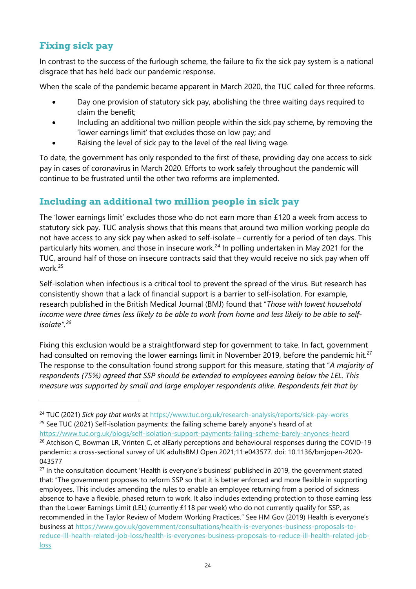# **Fixing sick pay**

In contrast to the success of the furlough scheme, the failure to fix the sick pay system is a national disgrace that has held back our pandemic response.

When the scale of the pandemic became apparent in March 2020, the TUC called for three reforms.

- Day one provision of statutory sick pay, abolishing the three waiting days required to claim the benefit;
- Including an additional two million people within the sick pay scheme, by removing the 'lower earnings limit' that excludes those on low pay; and
- Raising the level of sick pay to the level of the real living wage.

To date, the government has only responded to the first of these, providing day one access to sick pay in cases of coronavirus in March 2020. Efforts to work safely throughout the pandemic will continue to be frustrated until the other two reforms are implemented.

# **Including an additional two million people in sick pay**

The 'lower earnings limit' excludes those who do not earn more than £120 a week from access to statutory sick pay. TUC analysis shows that this means that around two million working people do not have access to any sick pay when asked to self-isolate – currently for a period of ten days. This particularly hits women, and those in insecure work.<sup>[24](#page-23-0)</sup> In polling undertaken in May 2021 for the TUC, around half of those on insecure contracts said that they would receive no sick pay when off work<sup>[25](#page-23-1)</sup>

Self-isolation when infectious is a critical tool to prevent the spread of the virus. But research has consistently shown that a lack of financial support is a barrier to self-isolation. For example, research published in the British Medical Journal (BMJ) found that "*Those with lowest household income were three times less likely to be able to work from home and less likely to be able to selfisolate".[26](#page-23-2)*

Fixing this exclusion would be a straightforward step for government to take. In fact, government had consulted on removing the lower earnings limit in November 2019, before the pandemic hit.<sup>[27](#page-23-3)</sup> The response to the consultation found strong support for this measure, stating that "*A majority of respondents (75%) agreed that SSP should be extended to employees earning below the LEL. This measure was supported by small and large employer respondents alike. Respondents felt that by* 

<span id="page-23-1"></span><span id="page-23-0"></span><sup>&</sup>lt;sup>24</sup> TUC (2021) *Sick pay that works* at<https://www.tuc.org.uk/research-analysis/reports/sick-pay-works>  $25$  See TUC (2021) Self-isolation payments: the failing scheme barely anyone's heard of at

<span id="page-23-2"></span><https://www.tuc.org.uk/blogs/self-isolation-support-payments-failing-scheme-barely-anyones-heard> <sup>26</sup> Atchison C, Bowman LR, Vrinten C, et alEarly perceptions and behavioural responses during the COVID-19 pandemic: a cross-sectional survey of UK adultsBMJ Open 2021;11:e043577. doi: 10.1136/bmjopen-2020- 043577

<span id="page-23-3"></span><sup>&</sup>lt;sup>27</sup> In the consultation document 'Health is everyone's business' published in 2019, the government stated that: "The government proposes to reform SSP so that it is better enforced and more flexible in supporting employees. This includes amending the rules to enable an employee returning from a period of sickness absence to have a flexible, phased return to work. It also includes extending protection to those earning less than the Lower Earnings Limit (LEL) (currently £118 per week) who do not currently qualify for SSP, as recommended in the Taylor Review of Modern Working Practices." See HM Gov (2019) Health is everyone's business at [https://www.gov.uk/government/consultations/health-is-everyones-business-proposals-to](https://www.gov.uk/government/consultations/health-is-everyones-business-proposals-to-reduce-ill-health-related-job-loss/health-is-everyones-business-proposals-to-reduce-ill-health-related-job-loss)[reduce-ill-health-related-job-loss/health-is-everyones-business-proposals-to-reduce-ill-health-related-job](https://www.gov.uk/government/consultations/health-is-everyones-business-proposals-to-reduce-ill-health-related-job-loss/health-is-everyones-business-proposals-to-reduce-ill-health-related-job-loss)[loss](https://www.gov.uk/government/consultations/health-is-everyones-business-proposals-to-reduce-ill-health-related-job-loss/health-is-everyones-business-proposals-to-reduce-ill-health-related-job-loss)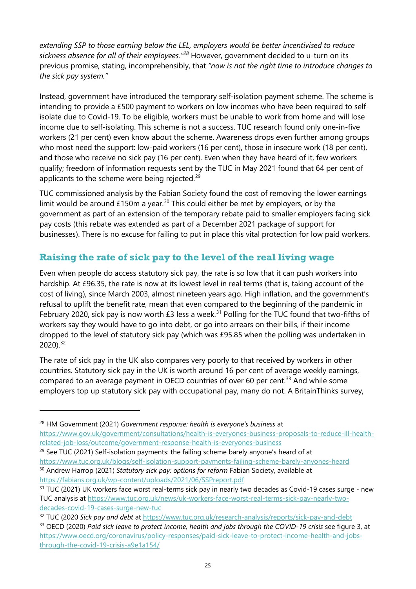*extending SSP to those earning below the LEL, employers would be better incentivised to reduce sickness absence for all of their employees." [28](#page-24-0)* However, government decided to u-turn on its previous promise, stating, incomprehensibly, that *"now is not the right time to introduce changes to the sick pay system."*

Instead, government have introduced the temporary self-isolation payment scheme. The scheme is intending to provide a £500 payment to workers on low incomes who have been required to selfisolate due to Covid-19. To be eligible, workers must be unable to work from home and will lose income due to self-isolating. This scheme is not a success. TUC research found only one-in-five workers (21 per cent) even know about the scheme. Awareness drops even further among groups who most need the support: low-paid workers (16 per cent), those in insecure work (18 per cent), and those who receive no sick pay (16 per cent). Even when they have heard of it, few workers qualify; freedom of information requests sent by the TUC in May 2021 found that 64 per cent of applicants to the scheme were being rejected. $29$ 

TUC commissioned analysis by the Fabian Society found the cost of removing the lower earnings limit would be around  $£150m$  a year.<sup>[30](#page-24-2)</sup> This could either be met by employers, or by the government as part of an extension of the temporary rebate paid to smaller employers facing sick pay costs (this rebate was extended as part of a December 2021 package of support for businesses). There is no excuse for failing to put in place this vital protection for low paid workers.

# **Raising the rate of sick pay to the level of the real living wage**

Even when people do access statutory sick pay, the rate is so low that it can push workers into hardship. At £96.35, the rate is now at its lowest level in real terms (that is, taking account of the cost of living), since March 2003, almost nineteen years ago. High inflation, and the government's refusal to uplift the benefit rate, mean that even compared to the beginning of the pandemic in February 2020, sick pay is now worth £3 less a week.<sup>[31](#page-24-3)</sup> Polling for the TUC found that two-fifths of workers say they would have to go into debt, or go into arrears on their bills, if their income dropped to the level of statutory sick pay (which was £95.85 when the polling was undertaken in 2020). [32](#page-24-4)

The rate of sick pay in the UK also compares very poorly to that received by workers in other countries. Statutory sick pay in the UK is worth around 16 per cent of average weekly earnings, compared to an average payment in OECD countries of over 60 per cent.<sup>[33](#page-24-5)</sup> And while some employers top up statutory sick pay with occupational pay, many do not. A BritainThinks survey,

<span id="page-24-0"></span><sup>28</sup> HM Government (2021) *Government response: health is everyone's business* at

[https://www.gov.uk/government/consultations/health-is-everyones-business-proposals-to-reduce-ill-health](https://www.gov.uk/government/consultations/health-is-everyones-business-proposals-to-reduce-ill-health-related-job-loss/outcome/government-response-health-is-everyones-business)[related-job-loss/outcome/government-response-health-is-everyones-business](https://www.gov.uk/government/consultations/health-is-everyones-business-proposals-to-reduce-ill-health-related-job-loss/outcome/government-response-health-is-everyones-business)

<span id="page-24-1"></span> $29$  See TUC (2021) Self-isolation payments: the failing scheme barely anyone's heard of at <https://www.tuc.org.uk/blogs/self-isolation-support-payments-failing-scheme-barely-anyones-heard>

<span id="page-24-2"></span><sup>30</sup> Andrew Harrop (2021) *Statutory sick pay: options for reform* Fabian Society, available at <https://fabians.org.uk/wp-content/uploads/2021/06/SSPreport.pdf>

<span id="page-24-3"></span><sup>&</sup>lt;sup>31</sup> TUC (2021) UK workers face worst real-terms sick pay in nearly two decades as Covid-19 cases surge - new TUC analysis at [https://www.tuc.org.uk/news/uk-workers-face-worst-real-terms-sick-pay-nearly-two](https://www.tuc.org.uk/news/uk-workers-face-worst-real-terms-sick-pay-nearly-two-decades-covid-19-cases-surge-new-tuc)[decades-covid-19-cases-surge-new-tuc](https://www.tuc.org.uk/news/uk-workers-face-worst-real-terms-sick-pay-nearly-two-decades-covid-19-cases-surge-new-tuc)

<span id="page-24-4"></span><sup>32</sup> TUC (2020 *Sick pay and debt* at<https://www.tuc.org.uk/research-analysis/reports/sick-pay-and-debt>

<span id="page-24-5"></span><sup>33</sup> OECD (2020) *Paid sick leave to protect income, health and jobs through the COVID-19 crisis* see figure 3, at [https://www.oecd.org/coronavirus/policy-responses/paid-sick-leave-to-protect-income-health-and-jobs](https://www.oecd.org/coronavirus/policy-responses/paid-sick-leave-to-protect-income-health-and-jobs-through-the-covid-19-crisis-a9e1a154/)[through-the-covid-19-crisis-a9e1a154/](https://www.oecd.org/coronavirus/policy-responses/paid-sick-leave-to-protect-income-health-and-jobs-through-the-covid-19-crisis-a9e1a154/)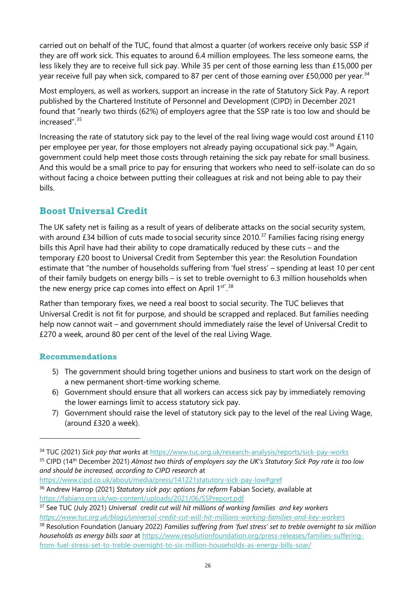carried out on behalf of the TUC, found that almost a quarter (of workers receive only basic SSP if they are off work sick. This equates to around 6.4 million employees. The less someone earns, the less likely they are to receive full sick pay. While 35 per cent of those earning less than £15,000 per year receive full pay when sick, compared to 87 per cent of those earning over £50,000 per year.<sup>[34](#page-25-0)</sup>

Most employers, as well as workers, support an increase in the rate of Statutory Sick Pay. A report published by the Chartered Institute of Personnel and Development (CIPD) in December 2021 found that "nearly two thirds (62%) of employers agree that the SSP rate is too low and should be increased".[35](#page-25-1)

Increasing the rate of statutory sick pay to the level of the real living wage would cost around £110 per employee per year, for those employers not already paying occupational sick pay.<sup>[36](#page-25-2)</sup> Again, government could help meet those costs through retaining the sick pay rebate for small business. And this would be a small price to pay for ensuring that workers who need to self-isolate can do so without facing a choice between putting their colleagues at risk and not being able to pay their bills.

# **Boost Universal Credit**

The UK safety net is failing as a result of years of deliberate attacks on the social security system, with around £34 billion of cuts made to social security since 2010.<sup>[37](#page-25-3)</sup> Families facing rising energy bills this April have had their ability to cope dramatically reduced by these cuts – and the temporary £20 boost to Universal Credit from September this year: the Resolution Foundation estimate that "the number of households suffering from 'fuel stress' – spending at least 10 per cent of their family budgets on energy bills – is set to treble overnight to 6.3 million households when the new energy price cap comes into effect on April 1st".<sup>[38](#page-25-4)</sup>

Rather than temporary fixes, we need a real boost to social security. The TUC believes that Universal Credit is not fit for purpose, and should be scrapped and replaced. But families needing help now cannot wait – and government should immediately raise the level of Universal Credit to £270 a week, around 80 per cent of the level of the real Living Wage.

#### **Recommendations**

- 5) The government should bring together unions and business to start work on the design of a new permanent short-time working scheme.
- 6) Government should ensure that all workers can access sick pay by immediately removing the lower earnings limit to access statutory sick pay.
- 7) Government should raise the level of statutory sick pay to the level of the real Living Wage, (around £320 a week).

<span id="page-25-2"></span><https://www.cipd.co.uk/about/media/press/141221statutory-sick-pay-low#gref> <sup>36</sup> Andrew Harrop (2021) *Statutory sick pay: options for reform* Fabian Society, available at <https://fabians.org.uk/wp-content/uploads/2021/06/SSPreport.pdf>

<span id="page-25-1"></span><span id="page-25-0"></span><sup>&</sup>lt;sup>34</sup> TUC (2021) Sick pay that works at<https://www.tuc.org.uk/research-analysis/reports/sick-pay-works> <sup>35</sup> CIPD (14th December 2021) *Almost two thirds of employers say the UK's Statutory Sick Pay rate is too low and should be increased, according to CIPD research* at

<span id="page-25-3"></span><sup>37</sup> See TUC (July 2021) *Universal credit cut will hit millions of working families and key workers <https://www.tuc.org.uk/blogs/universal-credit-cut-will-hit-millions-working-families-and-key-workers>*

<span id="page-25-4"></span><sup>38</sup> Resolution Foundation (January 2022) *Families suffering from 'fuel stress' set to treble overnight to six million households as energy bills soar* at [https://www.resolutionfoundation.org/press-releases/families-suffering](https://www.resolutionfoundation.org/press-releases/families-suffering-from-fuel-stress-set-to-treble-overnight-to-six-million-households-as-energy-bills-soar/)[from-fuel-stress-set-to-treble-overnight-to-six-million-households-as-energy-bills-soar/](https://www.resolutionfoundation.org/press-releases/families-suffering-from-fuel-stress-set-to-treble-overnight-to-six-million-households-as-energy-bills-soar/)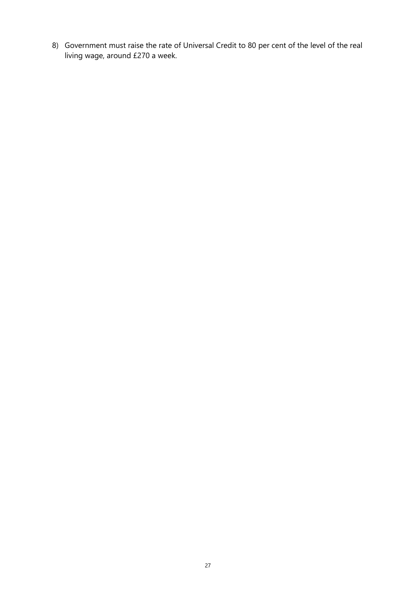8) Government must raise the rate of Universal Credit to 80 per cent of the level of the real living wage, around £270 a week.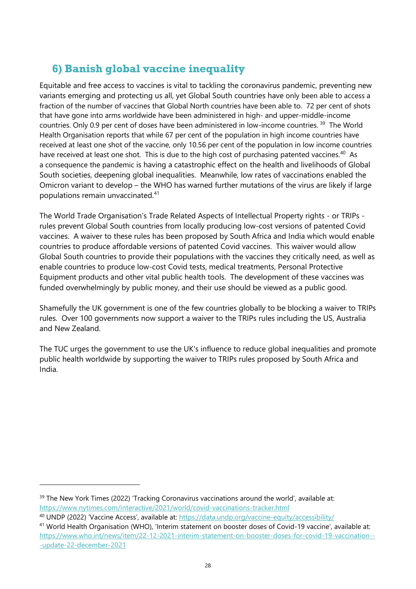# <span id="page-27-0"></span>**6) Banish global vaccine inequality**

Equitable and free access to vaccines is vital to tackling the coronavirus pandemic, preventing new variants emerging and protecting us all, yet Global South countries have only been able to access a fraction of the number of vaccines that Global North countries have been able to. 72 per cent of shots that have gone into arms worldwide have been administered in high- and upper-middle-income countries. Only 0.9 per cent of doses have been administered in low-income countries.<sup>[39](#page-27-1)</sup> The World Health Organisation reports that while 67 per cent of the population in high income countries have received at least one shot of the vaccine, only 10.56 per cent of the population in low income countries have received at least one shot. This is due to the high cost of purchasing patented vaccines.<sup>[40](#page-27-2)</sup> As a consequence the pandemic is having a catastrophic effect on the health and livelihoods of Global South societies, deepening global inequalities. Meanwhile, low rates of vaccinations enabled the Omicron variant to develop – the WHO has warned further mutations of the virus are likely if large populations remain unvaccinated.[41](#page-27-3)

The World Trade Organisation's Trade Related Aspects of Intellectual Property rights - or TRIPs rules prevent Global South countries from locally producing low-cost versions of patented Covid vaccines. A waiver to these rules has been proposed by South Africa and India which would enable countries to produce affordable versions of patented Covid vaccines. This waiver would allow Global South countries to provide their populations with the vaccines they critically need, as well as enable countries to produce low-cost Covid tests, medical treatments, Personal Protective Equipment products and other vital public health tools. The development of these vaccines was funded overwhelmingly by public money, and their use should be viewed as a public good.

Shamefully the UK government is one of the few countries globally to be blocking a waiver to TRIPs rules. Over 100 governments now support a waiver to the TRIPs rules including the US, Australia and New Zealand.

The TUC urges the government to use the UK's influence to reduce global inequalities and promote public health worldwide by supporting the waiver to TRIPs rules proposed by South Africa and India.

- <span id="page-27-2"></span><sup>40</sup> UNDP (2022) 'Vaccine Access', available at: <https://data.undp.org/vaccine-equity/accessibility/>
- <span id="page-27-3"></span><sup>41</sup> World Health Organisation (WHO), 'Interim statement on booster doses of Covid-19 vaccine', available at: [https://www.who.int/news/item/22-12-2021-interim-statement-on-booster-doses-for-covid-19-vaccination--](https://www.who.int/news/item/22-12-2021-interim-statement-on-booster-doses-for-covid-19-vaccination---update-22-december-2021) [-update-22-december-2021](https://www.who.int/news/item/22-12-2021-interim-statement-on-booster-doses-for-covid-19-vaccination---update-22-december-2021)

<span id="page-27-1"></span> $39$  The New York Times (2022) 'Tracking Coronavirus vaccinations around the world', available at: <https://www.nytimes.com/interactive/2021/world/covid-vaccinations-tracker.html>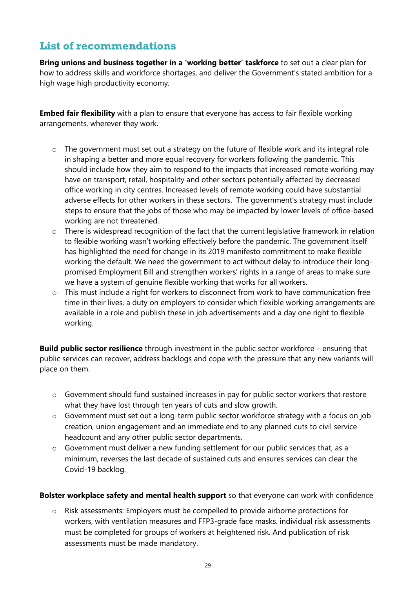# <span id="page-28-0"></span>**List of recommendations**

**Bring unions and business together in a 'working better' taskforce** to set out a clear plan for how to address skills and workforce shortages, and deliver the Government's stated ambition for a high wage high productivity economy.

**Embed fair flexibility** with a plan to ensure that everyone has access to fair flexible working arrangements, wherever they work.

- o The government must set out a strategy on the future of flexible work and its integral role in shaping a better and more equal recovery for workers following the pandemic. This should include how they aim to respond to the impacts that increased remote working may have on transport, retail, hospitality and other sectors potentially affected by decreased office working in city centres. Increased levels of remote working could have substantial adverse effects for other workers in these sectors. The government's strategy must include steps to ensure that the jobs of those who may be impacted by lower levels of office-based working are not threatened.
- $\circ$  There is widespread recognition of the fact that the current legislative framework in relation to flexible working wasn't working effectively before the pandemic. The government itself has highlighted the need for change in its 2019 manifesto commitment to make flexible working the default. We need the government to act without delay to introduce their longpromised Employment Bill and strengthen workers' rights in a range of areas to make sure we have a system of genuine flexible working that works for all workers.
- $\circ$  This must include a right for workers to disconnect from work to have communication free time in their lives, a duty on employers to consider which flexible working arrangements are available in a role and publish these in job advertisements and a day one right to flexible working.

**Build public sector resilience** through investment in the public sector workforce – ensuring that public services can recover, address backlogs and cope with the pressure that any new variants will place on them.

- $\circ$  Government should fund sustained increases in pay for public sector workers that restore what they have lost through ten years of cuts and slow growth.
- o Government must set out a long-term public sector workforce strategy with a focus on job creation, union engagement and an immediate end to any planned cuts to civil service headcount and any other public sector departments.
- o Government must deliver a new funding settlement for our public services that, as a minimum, reverses the last decade of sustained cuts and ensures services can clear the Covid-19 backlog.

#### **Bolster workplace safety and mental health support** so that everyone can work with confidence

 $\circ$  Risk assessments: Employers must be compelled to provide airborne protections for workers, with ventilation measures and FFP3-grade face masks. individual risk assessments must be completed for groups of workers at heightened risk. And publication of risk assessments must be made mandatory.